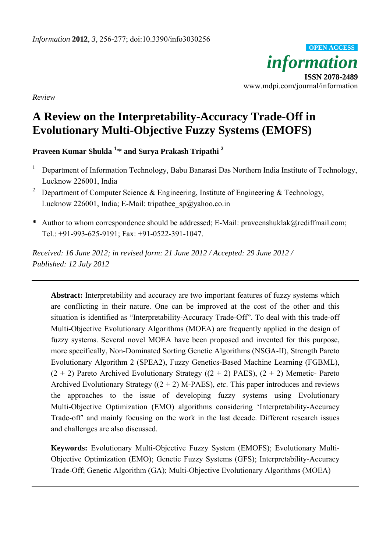

*Review* 

# **A Review on the Interpretability-Accuracy Trade-Off in Evolutionary Multi-Objective Fuzzy Systems (EMOFS)**

**Praveen Kumar Shukla 1,\* and Surya Prakash Tripathi 2**

- 1 Department of Information Technology, Babu Banarasi Das Northern India Institute of Technology, Lucknow 226001, India
- 2 Department of Computer Science & Engineering, Institute of Engineering & Technology, Lucknow 226001, India; E-Mail: tripathee\_sp@yahoo.co.in
- **\*** Author to whom correspondence should be addressed; E-Mail: praveenshuklak@rediffmail.com; Tel.: +91-993-625-9191; Fax: +91-0522-391-1047.

*Received: 16 June 2012; in revised form: 21 June 2012 / Accepted: 29 June 2012 / Published: 12 July 2012*

**Abstract:** Interpretability and accuracy are two important features of fuzzy systems which are conflicting in their nature. One can be improved at the cost of the other and this situation is identified as "Interpretability-Accuracy Trade-Off". To deal with this trade-off Multi-Objective Evolutionary Algorithms (MOEA) are frequently applied in the design of fuzzy systems. Several novel MOEA have been proposed and invented for this purpose, more specifically, Non-Dominated Sorting Genetic Algorithms (NSGA-II), Strength Pareto Evolutionary Algorithm 2 (SPEA2), Fuzzy Genetics-Based Machine Learning (FGBML),  $(2 + 2)$  Pareto Archived Evolutionary Strategy  $((2 + 2)$  PAES),  $(2 + 2)$  Memetic- Pareto Archived Evolutionary Strategy  $((2 + 2)$  M-PAES), *etc*. This paper introduces and reviews the approaches to the issue of developing fuzzy systems using Evolutionary Multi-Objective Optimization (EMO) algorithms considering 'Interpretability-Accuracy Trade-off' and mainly focusing on the work in the last decade. Different research issues and challenges are also discussed.

**Keywords:** Evolutionary Multi-Objective Fuzzy System (EMOFS); Evolutionary Multi-Objective Optimization (EMO); Genetic Fuzzy Systems (GFS); Interpretability-Accuracy Trade-Off; Genetic Algorithm (GA); Multi-Objective Evolutionary Algorithms (MOEA)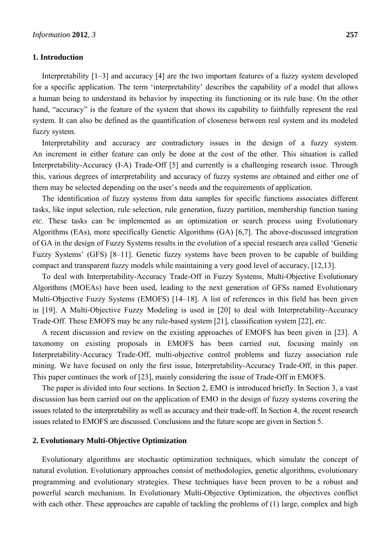#### **1. Introduction**

Interpretability [1–3] and accuracy [4] are the two important features of a fuzzy system developed for a specific application. The term 'interpretability' describes the capability of a model that allows a human being to understand its behavior by inspecting its functioning or its rule base. On the other hand, "accuracy" is the feature of the system that shows its capability to faithfully represent the real system. It can also be defined as the quantification of closeness between real system and its modeled fuzzy system.

Interpretability and accuracy are contradictory issues in the design of a fuzzy system. An increment in either feature can only be done at the cost of the other. This situation is called Interpretability-Accuracy (I-A) Trade-Off [5] and currently is a challenging research issue. Through this, various degrees of interpretability and accuracy of fuzzy systems are obtained and either one of them may be selected depending on the user's needs and the requirements of application.

The identification of fuzzy systems from data samples for specific functions associates different tasks, like input selection, rule selection, rule generation, fuzzy partition, membership function tuning *etc*. These tasks can be implemented as an optimization or search process using Evolutionary Algorithms (EAs), more specifically Genetic Algorithms (GA) [6,7]. The above-discussed integration of GA in the design of Fuzzy Systems results in the evolution of a special research area called 'Genetic Fuzzy Systems' (GFS) [8–11]. Genetic fuzzy systems have been proven to be capable of building compact and transparent fuzzy models while maintaining a very good level of accuracy, [12,13].

To deal with Interpretability-Accuracy Trade-Off in Fuzzy Systems, Multi-Objective Evolutionary Algorithms (MOEAs) have been used, leading to the next generation of GFSs named Evolutionary Multi-Objective Fuzzy Systems (EMOFS) [14–18]. A list of references in this field has been given in [19]. A Multi-Objective Fuzzy Modeling is used in [20] to deal with Interpretability-Accuracy Trade-Off. These EMOFS may be any rule-based system [21], classification system [22], *etc*.

A recent discussion and review on the existing approaches of EMOFS has been given in [23]. A taxonomy on existing proposals in EMOFS has been carried out, focusing mainly on Interpretability-Accuracy Trade-Off, multi-objective control problems and fuzzy association rule mining. We have focused on only the first issue, Interpretability-Accuracy Trade-Off, in this paper. This paper continues the work of [23], mainly considering the issue of Trade-Off in EMOFS.

The paper is divided into four sections. In Section 2, EMO is introduced briefly. In Section 3, a vast discussion has been carried out on the application of EMO in the design of fuzzy systems covering the issues related to the interpretability as well as accuracy and their trade-off. In Section 4, the recent research issues related to EMOFS are discussed. Conclusions and the future scope are given in Section 5.

## **2. Evolutionary Multi-Objective Optimization**

Evolutionary algorithms are stochastic optimization techniques, which simulate the concept of natural evolution. Evolutionary approaches consist of methodologies, genetic algorithms, evolutionary programming and evolutionary strategies. These techniques have been proven to be a robust and powerful search mechanism. In Evolutionary Multi-Objective Optimization, the objectives conflict with each other. These approaches are capable of tackling the problems of (1) large, complex and high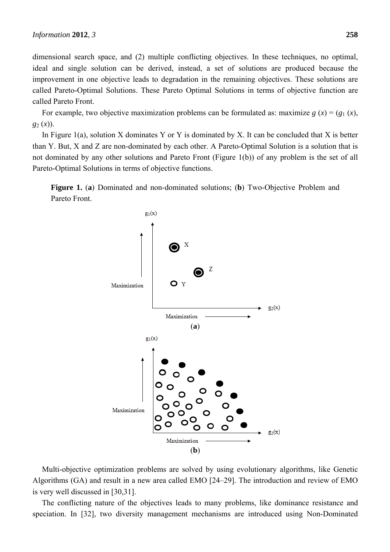dimensional search space, and (2) multiple conflicting objectives. In these techniques, no optimal, ideal and single solution can be derived, instead, a set of solutions are produced because the improvement in one objective leads to degradation in the remaining objectives. These solutions are called Pareto-Optimal Solutions. These Pareto Optimal Solutions in terms of objective function are called Pareto Front.

For example, two objective maximization problems can be formulated as: maximize  $g(x) = (g_1(x))$ , *g*2 (*x*)).

In Figure 1(a), solution X dominates Y or Y is dominated by X. It can be concluded that X is better than Y. But, X and Z are non-dominated by each other. A Pareto-Optimal Solution is a solution that is not dominated by any other solutions and Pareto Front (Figure 1(b)) of any problem is the set of all Pareto-Optimal Solutions in terms of objective functions.





Multi-objective optimization problems are solved by using evolutionary algorithms, like Genetic Algorithms (GA) and result in a new area called EMO [24–29]. The introduction and review of EMO is very well discussed in [30,31].

The conflicting nature of the objectives leads to many problems, like dominance resistance and speciation. In [32], two diversity management mechanisms are introduced using Non-Dominated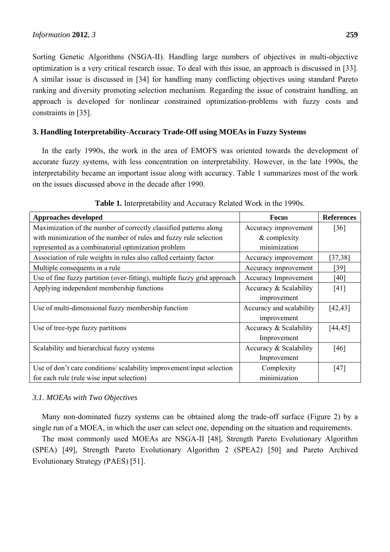Sorting Genetic Algorithms (NSGA-II). Handling large numbers of objectives in multi-objective optimization is a very critical research issue. To deal with this issue, an approach is discussed in [33]. A similar issue is discussed in [34] for handling many conflicting objectives using standard Pareto ranking and diversity promoting selection mechanism. Regarding the issue of constraint handling, an approach is developed for nonlinear constrained optimization-problems with fuzzy costs and constraints in [35].

## **3. Handling Interpretability-Accuracy Trade-Off using MOEAs in Fuzzy Systems**

In the early 1990s, the work in the area of EMOFS was oriented towards the development of accurate fuzzy systems, with less concentration on interpretability. However, in the late 1990s, the interpretability became an important issue along with accuracy. Table 1 summarizes most of the work on the issues discussed above in the decade after 1990.

| <b>Approaches developed</b>                                              | <b>Focus</b>             | <b>References</b>    |
|--------------------------------------------------------------------------|--------------------------|----------------------|
| Maximization of the number of correctly classified patterns along        | Accuracy improvement     | $\lceil 36 \rceil$   |
| with minimization of the number of rules and fuzzy rule selection        | & complexity             |                      |
| represented as a combinatorial optimization problem                      | minimization             |                      |
| Association of rule weights in rules also called certainty factor        | Accuracy improvement     | $\left[37,38\right]$ |
| Multiple consequents in a rule                                           | Accuracy improvement     | $[39]$               |
| Use of fine fuzzy partition (over-fitting), multiple fuzzy grid approach | Accuracy Improvement     | [40]                 |
| Applying independent membership functions                                | Accuracy & Scalability   | [41]                 |
|                                                                          | improvement              |                      |
| Use of multi-dimensional fuzzy membership function                       | Accuracy and scalability | [42, 43]             |
|                                                                          | improvement              |                      |
| Use of tree-type fuzzy partitions                                        | Accuracy & Scalability   | [44, 45]             |
|                                                                          | Improvement              |                      |
| Scalability and hierarchical fuzzy systems                               | Accuracy & Scalability   | $[46]$               |
|                                                                          | Improvement              |                      |
| Use of don't care conditions/ scalability improvement/input selection    | Complexity               | [47]                 |
| for each rule (rule wise input selection)                                | minimization             |                      |

**Table 1.** Interpretability and Accuracy Related Work in the 1990s.

## *3.1. MOEAs with Two Objectives*

Many non-dominated fuzzy systems can be obtained along the trade-off surface (Figure 2) by a single run of a MOEA, in which the user can select one, depending on the situation and requirements.

The most commonly used MOEAs are NSGA-II [48], Strength Pareto Evolutionary Algorithm (SPEA) [49], Strength Pareto Evolutionary Algorithm 2 (SPEA2) [50] and Pareto Archived Evolutionary Strategy (PAES) [51].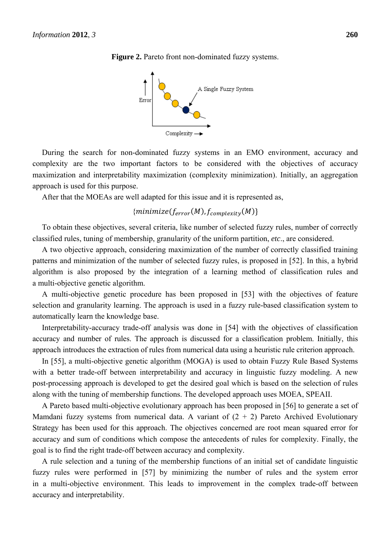

**Figure 2.** Pareto front non-dominated fuzzy systems.

During the search for non-dominated fuzzy systems in an EMO environment, accuracy and complexity are the two important factors to be considered with the objectives of accuracy maximization and interpretability maximization (complexity minimization). Initially, an aggregation approach is used for this purpose.

After that the MOEAs are well adapted for this issue and it is represented as,

# ${minimize(f_{error}(M), f_{complexity}(M)}$

To obtain these objectives, several criteria, like number of selected fuzzy rules, number of correctly classified rules, tuning of membership, granularity of the uniform partition, *etc*., are considered.

A two objective approach, considering maximization of the number of correctly classified training patterns and minimization of the number of selected fuzzy rules, is proposed in [52]. In this, a hybrid algorithm is also proposed by the integration of a learning method of classification rules and a multi-objective genetic algorithm.

A multi-objective genetic procedure has been proposed in [53] with the objectives of feature selection and granularity learning. The approach is used in a fuzzy rule-based classification system to automatically learn the knowledge base.

Interpretability-accuracy trade-off analysis was done in [54] with the objectives of classification accuracy and number of rules. The approach is discussed for a classification problem. Initially, this approach introduces the extraction of rules from numerical data using a heuristic rule criterion approach.

In [55], a multi-objective genetic algorithm (MOGA) is used to obtain Fuzzy Rule Based Systems with a better trade-off between interpretability and accuracy in linguistic fuzzy modeling. A new post-processing approach is developed to get the desired goal which is based on the selection of rules along with the tuning of membership functions. The developed approach uses MOEA, SPEAII.

A Pareto based multi-objective evolutionary approach has been proposed in [56] to generate a set of Mamdani fuzzy systems from numerical data. A variant of  $(2 + 2)$  Pareto Archived Evolutionary Strategy has been used for this approach. The objectives concerned are root mean squared error for accuracy and sum of conditions which compose the antecedents of rules for complexity. Finally, the goal is to find the right trade-off between accuracy and complexity.

A rule selection and a tuning of the membership functions of an initial set of candidate linguistic fuzzy rules were performed in [57] by minimizing the number of rules and the system error in a multi-objective environment. This leads to improvement in the complex trade-off between accuracy and interpretability.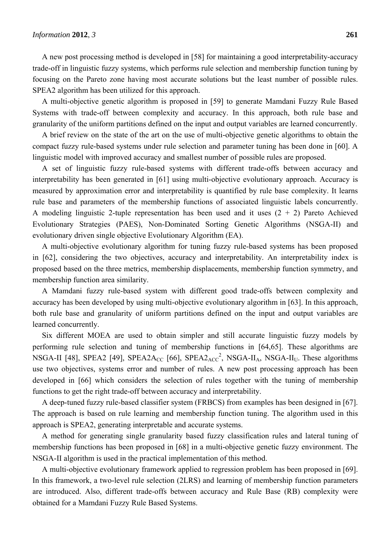A new post processing method is developed in [58] for maintaining a good interpretability-accuracy trade-off in linguistic fuzzy systems, which performs rule selection and membership function tuning by focusing on the Pareto zone having most accurate solutions but the least number of possible rules. SPEA2 algorithm has been utilized for this approach.

A multi-objective genetic algorithm is proposed in [59] to generate Mamdani Fuzzy Rule Based Systems with trade-off between complexity and accuracy. In this approach, both rule base and granularity of the uniform partitions defined on the input and output variables are learned concurrently.

A brief review on the state of the art on the use of multi-objective genetic algorithms to obtain the compact fuzzy rule-based systems under rule selection and parameter tuning has been done in [60]. A linguistic model with improved accuracy and smallest number of possible rules are proposed.

A set of linguistic fuzzy rule-based systems with different trade-offs between accuracy and interpretability has been generated in [61] using multi-objective evolutionary approach. Accuracy is measured by approximation error and interpretability is quantified by rule base complexity. It learns rule base and parameters of the membership functions of associated linguistic labels concurrently. A modeling linguistic 2-tuple representation has been used and it uses  $(2 + 2)$  Pareto Achieved Evolutionary Strategies (PAES), Non-Dominated Sorting Genetic Algorithms (NSGA-II) and evolutionary driven single objective Evolutionary Algorithm (EA).

A multi-objective evolutionary algorithm for tuning fuzzy rule-based systems has been proposed in [62], considering the two objectives, accuracy and interpretability. An interpretability index is proposed based on the three metrics, membership displacements, membership function symmetry, and membership function area similarity.

A Mamdani fuzzy rule-based system with different good trade-offs between complexity and accuracy has been developed by using multi-objective evolutionary algorithm in [63]. In this approach, both rule base and granularity of uniform partitions defined on the input and output variables are learned concurrently.

Six different MOEA are used to obtain simpler and still accurate linguistic fuzzy models by performing rule selection and tuning of membership functions in [64,65]. These algorithms are NSGA-II [48], SPEA2 [49], SPEA2 $A_{CC}$  [66], SPEA2 $A_{CC}^2$ , NSGA-II<sub>A</sub>, NSGA-II<sub>U</sub>. These algorithms use two objectives, systems error and number of rules. A new post processing approach has been developed in [66] which considers the selection of rules together with the tuning of membership functions to get the right trade-off between accuracy and interpretability.

A deep-tuned fuzzy rule-based classifier system (FRBCS) from examples has been designed in [67]. The approach is based on rule learning and membership function tuning. The algorithm used in this approach is SPEA2, generating interpretable and accurate systems.

A method for generating single granularity based fuzzy classification rules and lateral tuning of membership functions has been proposed in [68] in a multi-objective genetic fuzzy environment. The NSGA-II algorithm is used in the practical implementation of this method.

A multi-objective evolutionary framework applied to regression problem has been proposed in [69]. In this framework, a two-level rule selection (2LRS) and learning of membership function parameters are introduced. Also, different trade-offs between accuracy and Rule Base (RB) complexity were obtained for a Mamdani Fuzzy Rule Based Systems.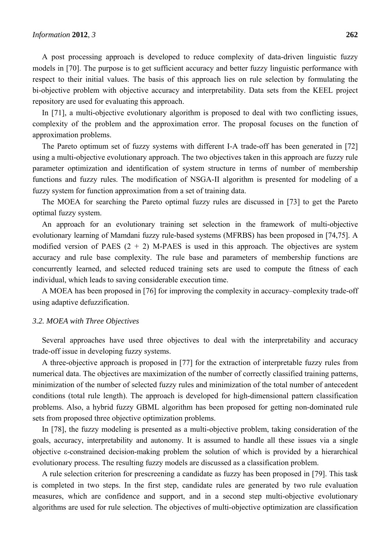A post processing approach is developed to reduce complexity of data-driven linguistic fuzzy models in [70]. The purpose is to get sufficient accuracy and better fuzzy linguistic performance with respect to their initial values. The basis of this approach lies on rule selection by formulating the bi-objective problem with objective accuracy and interpretability. Data sets from the KEEL project repository are used for evaluating this approach.

In [71], a multi-objective evolutionary algorithm is proposed to deal with two conflicting issues, complexity of the problem and the approximation error. The proposal focuses on the function of approximation problems.

The Pareto optimum set of fuzzy systems with different I-A trade-off has been generated in [72] using a multi-objective evolutionary approach. The two objectives taken in this approach are fuzzy rule parameter optimization and identification of system structure in terms of number of membership functions and fuzzy rules. The modification of NSGA-II algorithm is presented for modeling of a fuzzy system for function approximation from a set of training data.

The MOEA for searching the Pareto optimal fuzzy rules are discussed in [73] to get the Pareto optimal fuzzy system.

An approach for an evolutionary training set selection in the framework of multi-objective evolutionary learning of Mamdani fuzzy rule-based systems (MFRBS) has been proposed in [74,75]. A modified version of PAES  $(2 + 2)$  M-PAES is used in this approach. The objectives are system accuracy and rule base complexity. The rule base and parameters of membership functions are concurrently learned, and selected reduced training sets are used to compute the fitness of each individual, which leads to saving considerable execution time.

A MOEA has been proposed in [76] for improving the complexity in accuracy–complexity trade-off using adaptive defuzzification.

#### *3.2. MOEA with Three Objectives*

Several approaches have used three objectives to deal with the interpretability and accuracy trade-off issue in developing fuzzy systems.

A three-objective approach is proposed in [77] for the extraction of interpretable fuzzy rules from numerical data. The objectives are maximization of the number of correctly classified training patterns, minimization of the number of selected fuzzy rules and minimization of the total number of antecedent conditions (total rule length). The approach is developed for high-dimensional pattern classification problems. Also, a hybrid fuzzy GBML algorithm has been proposed for getting non-dominated rule sets from proposed three objective optimization problems.

In [78], the fuzzy modeling is presented as a multi-objective problem, taking consideration of the goals, accuracy, interpretability and autonomy. It is assumed to handle all these issues via a single objective ε-constrained decision-making problem the solution of which is provided by a hierarchical evolutionary process. The resulting fuzzy models are discussed as a classification problem.

A rule selection criterion for prescreening a candidate as fuzzy has been proposed in [79]. This task is completed in two steps. In the first step, candidate rules are generated by two rule evaluation measures, which are confidence and support, and in a second step multi-objective evolutionary algorithms are used for rule selection. The objectives of multi-objective optimization are classification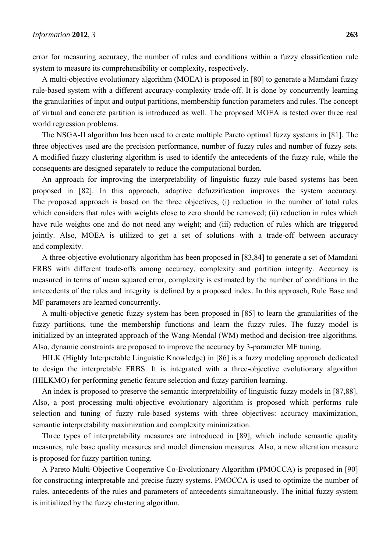error for measuring accuracy, the number of rules and conditions within a fuzzy classification rule system to measure its comprehensibility or complexity, respectively.

A multi-objective evolutionary algorithm (MOEA) is proposed in [80] to generate a Mamdani fuzzy rule-based system with a different accuracy-complexity trade-off. It is done by concurrently learning the granularities of input and output partitions, membership function parameters and rules. The concept of virtual and concrete partition is introduced as well. The proposed MOEA is tested over three real world regression problems.

The NSGA-II algorithm has been used to create multiple Pareto optimal fuzzy systems in [81]. The three objectives used are the precision performance, number of fuzzy rules and number of fuzzy sets. A modified fuzzy clustering algorithm is used to identify the antecedents of the fuzzy rule, while the consequents are designed separately to reduce the computational burden.

An approach for improving the interpretability of linguistic fuzzy rule-based systems has been proposed in [82]. In this approach, adaptive defuzzification improves the system accuracy. The proposed approach is based on the three objectives, (i) reduction in the number of total rules which considers that rules with weights close to zero should be removed; (ii) reduction in rules which have rule weights one and do not need any weight; and (iii) reduction of rules which are triggered jointly. Also, MOEA is utilized to get a set of solutions with a trade-off between accuracy and complexity.

A three-objective evolutionary algorithm has been proposed in [83,84] to generate a set of Mamdani FRBS with different trade-offs among accuracy, complexity and partition integrity. Accuracy is measured in terms of mean squared error, complexity is estimated by the number of conditions in the antecedents of the rules and integrity is defined by a proposed index. In this approach, Rule Base and MF parameters are learned concurrently.

A multi-objective genetic fuzzy system has been proposed in [85] to learn the granularities of the fuzzy partitions, tune the membership functions and learn the fuzzy rules. The fuzzy model is initialized by an integrated approach of the Wang-Mendal (WM) method and decision-tree algorithms. Also, dynamic constraints are proposed to improve the accuracy by 3-parameter MF tuning.

HILK (Highly Interpretable Linguistic Knowledge) in [86] is a fuzzy modeling approach dedicated to design the interpretable FRBS. It is integrated with a three-objective evolutionary algorithm (HILKMO) for performing genetic feature selection and fuzzy partition learning.

An index is proposed to preserve the semantic interpretability of linguistic fuzzy models in [87,88]. Also, a post processing multi-objective evolutionary algorithm is proposed which performs rule selection and tuning of fuzzy rule-based systems with three objectives: accuracy maximization, semantic interpretability maximization and complexity minimization.

Three types of interpretability measures are introduced in [89], which include semantic quality measures, rule base quality measures and model dimension measures. Also, a new alteration measure is proposed for fuzzy partition tuning.

A Pareto Multi-Objective Cooperative Co-Evolutionary Algorithm (PMOCCA) is proposed in [90] for constructing interpretable and precise fuzzy systems. PMOCCA is used to optimize the number of rules, antecedents of the rules and parameters of antecedents simultaneously. The initial fuzzy system is initialized by the fuzzy clustering algorithm.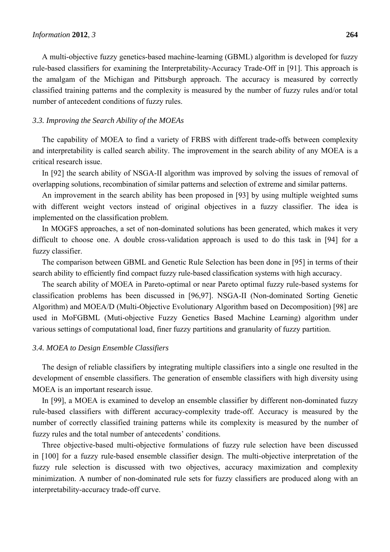A multi-objective fuzzy genetics-based machine-learning (GBML) algorithm is developed for fuzzy rule-based classifiers for examining the Interpretability-Accuracy Trade-Off in [91]. This approach is the amalgam of the Michigan and Pittsburgh approach. The accuracy is measured by correctly classified training patterns and the complexity is measured by the number of fuzzy rules and/or total number of antecedent conditions of fuzzy rules.

#### *3.3. Improving the Search Ability of the MOEAs*

The capability of MOEA to find a variety of FRBS with different trade-offs between complexity and interpretability is called search ability. The improvement in the search ability of any MOEA is a critical research issue.

In [92] the search ability of NSGA-II algorithm was improved by solving the issues of removal of overlapping solutions, recombination of similar patterns and selection of extreme and similar patterns.

An improvement in the search ability has been proposed in [93] by using multiple weighted sums with different weight vectors instead of original objectives in a fuzzy classifier. The idea is implemented on the classification problem.

In MOGFS approaches, a set of non-dominated solutions has been generated, which makes it very difficult to choose one. A double cross-validation approach is used to do this task in [94] for a fuzzy classifier.

The comparison between GBML and Genetic Rule Selection has been done in [95] in terms of their search ability to efficiently find compact fuzzy rule-based classification systems with high accuracy.

The search ability of MOEA in Pareto-optimal or near Pareto optimal fuzzy rule-based systems for classification problems has been discussed in [96,97]. NSGA-II (Non-dominated Sorting Genetic Algorithm) and MOEA/D (Multi-Objective Evolutionary Algorithm based on Decomposition) [98] are used in MoFGBML (Muti-objective Fuzzy Genetics Based Machine Learning) algorithm under various settings of computational load, finer fuzzy partitions and granularity of fuzzy partition.

### *3.4. MOEA to Design Ensemble Classifiers*

The design of reliable classifiers by integrating multiple classifiers into a single one resulted in the development of ensemble classifiers. The generation of ensemble classifiers with high diversity using MOEA is an important research issue.

In [99], a MOEA is examined to develop an ensemble classifier by different non-dominated fuzzy rule-based classifiers with different accuracy-complexity trade-off. Accuracy is measured by the number of correctly classified training patterns while its complexity is measured by the number of fuzzy rules and the total number of antecedents' conditions.

Three objective-based multi-objective formulations of fuzzy rule selection have been discussed in [100] for a fuzzy rule-based ensemble classifier design. The multi-objective interpretation of the fuzzy rule selection is discussed with two objectives, accuracy maximization and complexity minimization. A number of non-dominated rule sets for fuzzy classifiers are produced along with an interpretability-accuracy trade-off curve.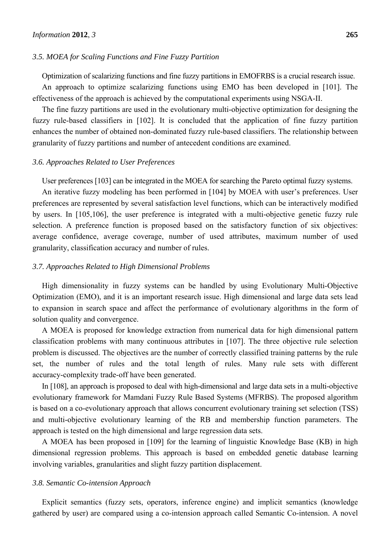#### *3.5. MOEA for Scaling Functions and Fine Fuzzy Partition*

Optimization of scalarizing functions and fine fuzzy partitions in EMOFRBS is a crucial research issue. An approach to optimize scalarizing functions using EMO has been developed in [101]. The effectiveness of the approach is achieved by the computational experiments using NSGA-II.

The fine fuzzy partitions are used in the evolutionary multi-objective optimization for designing the fuzzy rule-based classifiers in [102]. It is concluded that the application of fine fuzzy partition enhances the number of obtained non-dominated fuzzy rule-based classifiers. The relationship between granularity of fuzzy partitions and number of antecedent conditions are examined.

#### *3.6. Approaches Related to User Preferences*

User preferences [103] can be integrated in the MOEA for searching the Pareto optimal fuzzy systems.

An iterative fuzzy modeling has been performed in [104] by MOEA with user's preferences. User preferences are represented by several satisfaction level functions, which can be interactively modified by users. In [105,106], the user preference is integrated with a multi-objective genetic fuzzy rule selection. A preference function is proposed based on the satisfactory function of six objectives: average confidence, average coverage, number of used attributes, maximum number of used granularity, classification accuracy and number of rules.

#### *3.7. Approaches Related to High Dimensional Problems*

High dimensionality in fuzzy systems can be handled by using Evolutionary Multi-Objective Optimization (EMO), and it is an important research issue. High dimensional and large data sets lead to expansion in search space and affect the performance of evolutionary algorithms in the form of solution quality and convergence.

A MOEA is proposed for knowledge extraction from numerical data for high dimensional pattern classification problems with many continuous attributes in [107]. The three objective rule selection problem is discussed. The objectives are the number of correctly classified training patterns by the rule set, the number of rules and the total length of rules. Many rule sets with different accuracy-complexity trade-off have been generated.

In [108], an approach is proposed to deal with high-dimensional and large data sets in a multi-objective evolutionary framework for Mamdani Fuzzy Rule Based Systems (MFRBS). The proposed algorithm is based on a co-evolutionary approach that allows concurrent evolutionary training set selection (TSS) and multi-objective evolutionary learning of the RB and membership function parameters. The approach is tested on the high dimensional and large regression data sets.

A MOEA has been proposed in [109] for the learning of linguistic Knowledge Base (KB) in high dimensional regression problems. This approach is based on embedded genetic database learning involving variables, granularities and slight fuzzy partition displacement.

#### *3.8. Semantic Co-intension Approach*

Explicit semantics (fuzzy sets, operators, inference engine) and implicit semantics (knowledge gathered by user) are compared using a co-intension approach called Semantic Co-intension. A novel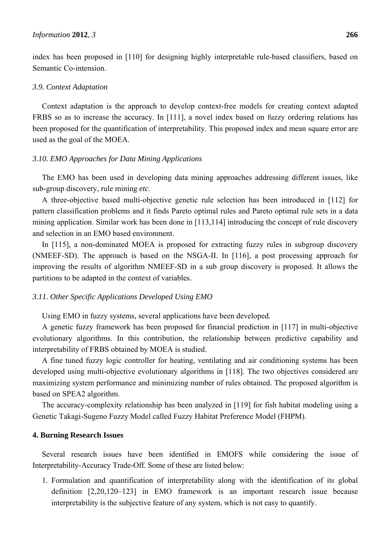index has been proposed in [110] for designing highly interpretable rule-based classifiers, based on Semantic Co-intension.

#### *3.9. Context Adaptation*

Context adaptation is the approach to develop context-free models for creating context adapted FRBS so as to increase the accuracy. In [111], a novel index based on fuzzy ordering relations has been proposed for the quantification of interpretability. This proposed index and mean square error are used as the goal of the MOEA.

#### *3.10. EMO Approaches for Data Mining Applications*

The EMO has been used in developing data mining approaches addressing different issues, like sub-group discovery, rule mining *etc*.

A three-objective based multi-objective genetic rule selection has been introduced in [112] for pattern classification problems and it finds Pareto optimal rules and Pareto optimal rule sets in a data mining application. Similar work has been done in [113,114] introducing the concept of rule discovery and selection in an EMO based environment.

In [115], a non-dominated MOEA is proposed for extracting fuzzy rules in subgroup discovery (NMEEF-SD). The approach is based on the NSGA-II. In [116], a post processing approach for improving the results of algorithm NMEEF-SD in a sub group discovery is proposed. It allows the partitions to be adapted in the context of variables.

### *3.11. Other Specific Applications Developed Using EMO*

Using EMO in fuzzy systems, several applications have been developed.

A genetic fuzzy framework has been proposed for financial prediction in [117] in multi-objective evolutionary algorithms. In this contribution, the relationship between predictive capability and interpretability of FRBS obtained by MOEA is studied.

A fine tuned fuzzy logic controller for heating, ventilating and air conditioning systems has been developed using multi-objective evolutionary algorithms in [118]. The two objectives considered are maximizing system performance and minimizing number of rules obtained. The proposed algorithm is based on SPEA2 algorithm.

The accuracy-complexity relationship has been analyzed in [119] for fish habitat modeling using a Genetic Takagi-Sugeno Fuzzy Model called Fuzzy Habitat Preference Model (FHPM).

#### **4. Burning Research Issues**

Several research issues have been identified in EMOFS while considering the issue of Interpretability-Accuracy Trade-Off. Some of these are listed below:

1. Formulation and quantification of interpretability along with the identification of its global definition [2,20,120–123] in EMO framework is an important research issue because interpretability is the subjective feature of any system, which is not easy to quantify.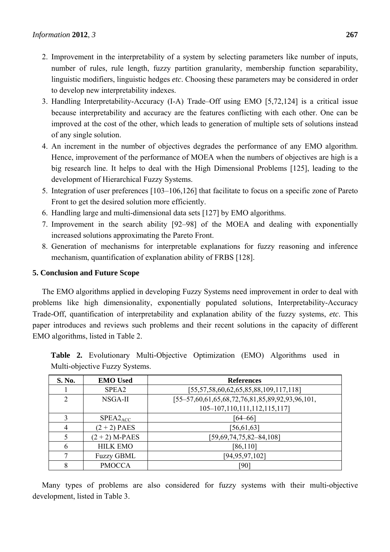- 2. Improvement in the interpretability of a system by selecting parameters like number of inputs, number of rules, rule length, fuzzy partition granularity, membership function separability, linguistic modifiers, linguistic hedges *etc*. Choosing these parameters may be considered in order to develop new interpretability indexes.
- 3. Handling Interpretability-Accuracy (I-A) Trade–Off using EMO [5,72,124] is a critical issue because interpretability and accuracy are the features conflicting with each other. One can be improved at the cost of the other, which leads to generation of multiple sets of solutions instead of any single solution.
- 4. An increment in the number of objectives degrades the performance of any EMO algorithm. Hence, improvement of the performance of MOEA when the numbers of objectives are high is a big research line. It helps to deal with the High Dimensional Problems [125], leading to the development of Hierarchical Fuzzy Systems.
- 5. Integration of user preferences [103–106,126] that facilitate to focus on a specific zone of Pareto Front to get the desired solution more efficiently.
- 6. Handling large and multi-dimensional data sets [127] by EMO algorithms.
- 7. Improvement in the search ability [92–98] of the MOEA and dealing with exponentially increased solutions approximating the Pareto Front.
- 8. Generation of mechanisms for interpretable explanations for fuzzy reasoning and inference mechanism, quantification of explanation ability of FRBS [128].

## **5. Conclusion and Future Scope**

The EMO algorithms applied in developing Fuzzy Systems need improvement in order to deal with problems like high dimensionality, exponentially populated solutions, Interpretability-Accuracy Trade-Off, quantification of interpretability and explanation ability of the fuzzy systems, *etc*. This paper introduces and reviews such problems and their recent solutions in the capacity of different EMO algorithms, listed in Table 2.

| Multi-objective Fuzzy Systems. |                   |                                                   |  |  |
|--------------------------------|-------------------|---------------------------------------------------|--|--|
| <b>S. No.</b>                  | <b>EMO</b> Used   | <b>References</b>                                 |  |  |
|                                | SPEA <sub>2</sub> | $[55, 57, 58, 60, 62, 65, 85, 88, 109, 117, 118]$ |  |  |
|                                | NSGA-II           | $[55-57,60,61,65,68,72,76,81,85,89,92,93,96,101,$ |  |  |
|                                |                   | $105-107, 110, 111, 112, 115, 117$                |  |  |

 $3 \qquad \qquad$  SPEA2<sub>ACC</sub> | [64–66] 4  $(2+2)$  PAES [56,61,63]

6 HILK EMO **[86,110]** 7 Fuzzy GBML [94,95,97,102] 8 | PMOCCA | [90]

5  $(2 + 2)$  M-PAES [59,69,74,75,82–84,108]

**Table 2.** Evolutionary Multi-Objective Optimization (EMO) Algorithms used in Multi-objective Fuzzy Systems.

Many types of problems are also considered for fuzzy systems with their multi-objective development, listed in Table 3.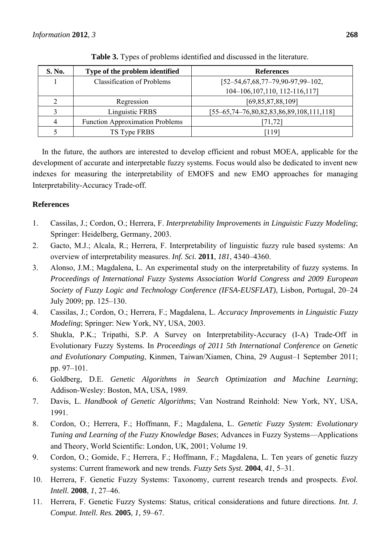| S. No. | Type of the problem identified         | <b>References</b>                                   |
|--------|----------------------------------------|-----------------------------------------------------|
|        | <b>Classification of Problems</b>      | $[52 - 54, 67, 68, 77 - 79, 90 - 97, 99 - 102,$     |
|        |                                        | 104-106, 107, 110, 112-116, 117]                    |
|        | Regression                             | [69,85,87,88,109]                                   |
|        | Linguistic FRBS                        | $[55-65, 74-76, 80, 82, 83, 86, 89, 108, 111, 118]$ |
| 4      | <b>Function Approximation Problems</b> | [71, 72]                                            |
|        | TS Type FRBS                           | [119]                                               |

**Table 3.** Types of problems identified and discussed in the literature.

In the future, the authors are interested to develop efficient and robust MOEA, applicable for the development of accurate and interpretable fuzzy systems. Focus would also be dedicated to invent new indexes for measuring the interpretability of EMOFS and new EMO approaches for managing Interpretability-Accuracy Trade-off.

## **References**

- 1. Cassilas, J.; Cordon, O.; Herrera, F. *Interpretability Improvements in Linguistic Fuzzy Modeling*; Springer: Heidelberg, Germany, 2003.
- 2. Gacto, M.J.; Alcala, R.; Herrera, F. Interpretability of linguistic fuzzy rule based systems: An overview of interpretability measures. *Inf. Sci.* **2011**, *181*, 4340–4360.
- 3. Alonso, J.M.; Magdalena, L. An experimental study on the interpretability of fuzzy systems. In *Proceedings of International Fuzzy Systems Association World Congress and 2009 European Society of Fuzzy Logic and Technology Conference (IFSA-EUSFLAT)*, Lisbon, Portugal, 20–24 July 2009; pp. 125–130.
- 4. Cassilas, J.; Cordon, O.; Herrera, F.; Magdalena, L. *Accuracy Improvements in Linguistic Fuzzy Modeling*; Springer: New York, NY, USA, 2003.
- 5. Shukla, P.K.; Tripathi, S.P. A Survey on Interpretability-Accuracy (I-A) Trade-Off in Evolutionary Fuzzy Systems. In *Proceedings of 2011 5th International Conference on Genetic and Evolutionary Computing*, Kinmen, Taiwan/Xiamen, China, 29 August–1 September 2011; pp. 97–101.
- 6. Goldberg, D.E. *Genetic Algorithms in Search Optimization and Machine Learning*; Addison-Wesley: Boston, MA, USA, 1989.
- 7. Davis, L. *Handbook of Genetic Algorithms*; Van Nostrand Reinhold: New York, NY, USA, 1991.
- 8. Cordon, O.; Herrera, F.; Hoffmann, F.; Magdalena, L. *Genetic Fuzzy System: Evolutionary Tuning and Learning of the Fuzzy Knowledge Bases*; Advances in Fuzzy Systems—Applications and Theory, World Scientific: London, UK, 2001; Volume 19.
- 9. Cordon, O.; Gomide, F.; Herrera, F.; Hoffmann, F.; Magdalena, L. Ten years of genetic fuzzy systems: Current framework and new trends. *Fuzzy Sets Syst.* **2004**, *41*, 5–31.
- 10. Herrera, F. Genetic Fuzzy Systems: Taxonomy, current research trends and prospects. *Evol. Intell.* **2008**, *1*, 27–46.
- 11. Herrera, F. Genetic Fuzzy Systems: Status, critical considerations and future directions. *Int. J. Comput. Intell. Res.* **2005**, *1*, 59–67.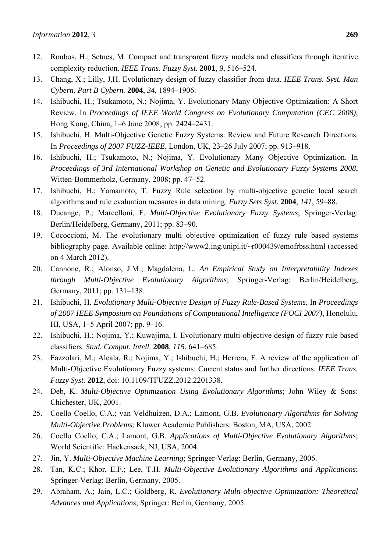- 12. Roubos, H.; Setnes, M. Compact and transparent fuzzy models and classifiers through iterative complexity reduction. *IEEE Trans. Fuzzy Syst.* **2001**, *9*, 516–524.
- 13. Chang, X.; Lilly, J.H. Evolutionary design of fuzzy classifier from data. *IEEE Trans. Syst. Man Cybern. Part B Cybern.* **2004**, *34*, 1894–1906.
- 14. Ishibuchi, H.; Tsukamoto, N.; Nojima, Y. Evolutionary Many Objective Optimization: A Short Review. In *Proceedings of IEEE World Congress on Evolutionary Computation (CEC 2008)*, Hong Kong, China, 1–6 June 2008; pp. 2424–2431.
- 15. Ishibuchi, H. Multi-Objective Genetic Fuzzy Systems: Review and Future Research Directions. In *Proceedings of 2007 FUZZ-IEEE*, London, UK, 23–26 July 2007; pp. 913–918.
- 16. Ishibuchi, H.; Tsukamoto, N.; Nojima, Y. Evolutionary Many Objective Optimization. In *Proceedings of 3rd International Workshop on Genetic and Evolutionary Fuzzy Systems 2008*, Witten-Bommerholz, Germany, 2008; pp. 47–52.
- 17. Ishibuchi, H.; Yamamoto, T. Fuzzy Rule selection by multi-objective genetic local search algorithms and rule evaluation measures in data mining. *Fuzzy Sets Syst.* **2004**, *141*, 59–88.
- 18. Ducange, P.; Marcelloni, F. *Multi-Objective Evolutionary Fuzzy Systems*; Springer-Verlag: Berlin/Heidelberg, Germany, 2011; pp. 83–90.
- 19. Cococcioni, M. The evolutionary multi objective optimization of fuzzy rule based systems bibliography page. Available online: http://www2.ing.unipi.it/~r000439/emofrbss.html (accessed on 4 March 2012).
- 20. Cannone, R.; Alonso, J.M.; Magdalena, L. *An Empirical Study on Interpretability Indexes through Multi-Objective Evolutionary Algorithms*; Springer-Verlag: Berlin/Heidelberg, Germany, 2011; pp. 131–138.
- 21. Ishibuchi, H. *Evolutionary Multi-Objective Design of Fuzzy Rule-Based Systems*, In *Proceedings of 2007 IEEE Symposium on Foundations of Computational Intelligence (FOCI 2007)*, Honolulu, HI, USA, 1–5 April 2007; pp. 9–16.
- 22. Ishibuchi, H.; Nojima, Y.; Kuwajima, I. Evolutionary multi-objective design of fuzzy rule based classifiers. *Stud. Comput. Intell.* **2008**, *115*, 641–685.
- 23. Fazzolari, M.; Alcala, R.; Nojima, Y.; Ishibuchi, H.; Herrera, F. A review of the application of Multi-Objective Evolutionary Fuzzy systems: Current status and further directions. *IEEE Trans. Fuzzy Syst.* **2012**, doi: 10.1109/TFUZZ.2012.2201338.
- 24. Deb, K. *Multi-Objective Optimization Using Evolutionary Algorithms*; John Wiley & Sons: Chichester, UK, 2001.
- 25. Coello Coello, C.A.; van Veldhuizen, D.A.; Lamont, G.B. *Evolutionary Algorithms for Solving Multi-Objective Problems*; Kluwer Academic Publishers: Boston, MA, USA, 2002.
- 26. Coello Coello, C.A.; Lamont, G.B. *Applications of Multi-Objective Evolutionary Algorithms*; World Scientific: Hackensack, NJ, USA, 2004.
- 27. Jin, Y. *Multi-Objective Machine Learning*; Springer-Verlag: Berlin, Germany, 2006.
- 28. Tan, K.C.; Khor, E.F.; Lee, T.H. *Multi-Objective Evolutionary Algorithms and Applications*; Springer-Verlag: Berlin, Germany, 2005.
- 29. Abraham, A.; Jain, L.C.; Goldberg, R. *Evolutionary Multi-objective Optimization: Theoretical Advances and Applications*; Springer: Berlin, Germany, 2005.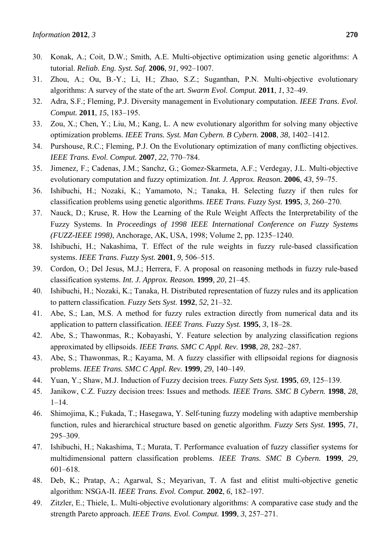- 31. Zhou, A.; Ou, B.-Y.; Li, H.; Zhao, S.Z.; Suganthan, P.N. Multi-objective evolutionary algorithms: A survey of the state of the art. *Swarm Evol. Comput.* **2011**, *1*, 32–49.
- 32. Adra, S.F.; Fleming, P.J. Diversity management in Evolutionary computation. *IEEE Trans. Evol. Comput.* **2011**, *15*, 183–195.
- 33. Zou, X.; Chen, Y.; Liu, M.; Kang, L. A new evolutionary algorithm for solving many objective optimization problems. *IEEE Trans. Syst. Man Cybern. B Cybern.* **2008**, *38*, 1402–1412.
- 34. Purshouse, R.C.; Fleming, P.J. On the Evolutionary optimization of many conflicting objectives. *IEEE Trans. Evol. Comput.* **2007**, *22*, 770–784.
- 35. Jimenez, F.; Cadenas, J.M.; Sanchz, G.; Gomez-Skarmeta, A.F.; Verdegay, J.L. Multi-objective evolutionary computation and fuzzy optimization. *Int. J. Approx. Reason.* **2006**, *43*, 59–75.
- 36. Ishibuchi, H.; Nozaki, K.; Yamamoto, N.; Tanaka, H. Selecting fuzzy if then rules for classification problems using genetic algorithms. *IEEE Trans. Fuzzy Syst.* **1995**, *3*, 260–270.
- 37. Nauck, D.; Kruse, R. How the Learning of the Rule Weight Affects the Interpretability of the Fuzzy Systems. In *Proceedings of 1998 IEEE International Conference on Fuzzy Systems (FUZZ-IEEE 1998)*, Anchorage, AK, USA, 1998; Volume 2, pp. 1235–1240.
- 38. Ishibuchi, H.; Nakashima, T. Effect of the rule weights in fuzzy rule-based classification systems. *IEEE Trans. Fuzzy Syst.* **2001**, *9*, 506–515.
- 39. Cordon, O.; Del Jesus, M.J.; Herrera, F. A proposal on reasoning methods in fuzzy rule-based classification systems. *Int. J. Approx. Reason.* **1999**, *20*, 21–45.
- 40. Ishibuchi, H.; Nozaki, K.; Tanaka, H. Distributed representation of fuzzy rules and its application to pattern classification. *Fuzzy Sets Syst.* **1992**, *52*, 21–32.
- 41. Abe, S.; Lan, M.S. A method for fuzzy rules extraction directly from numerical data and its application to pattern classification. *IEEE Trans. Fuzzy Syst.* **1995**, *3*, 18–28.
- 42. Abe, S.; Thawonmas, R.; Kobayashi, Y. Feature selection by analyzing classification regions approximated by ellipsoids. *IEEE Trans. SMC C Appl. Rev.* **1998**, *28*, 282–287.
- 43. Abe, S.; Thawonmas, R.; Kayama, M. A fuzzy classifier with ellipsoidal regions for diagnosis problems. *IEEE Trans. SMC C Appl. Rev.* **1999**, *29*, 140–149.
- 44. Yuan, Y.; Shaw, M.J. Induction of Fuzzy decision trees. *Fuzzy Sets Syst.* **1995**, *69*, 125–139.
- 45. Janikow, C.Z. Fuzzy decision trees: Issues and methods. *IEEE Trans. SMC B Cybern.* **1998**, *28*,  $1 - 14$ .
- 46. Shimojima, K.; Fukada, T.; Hasegawa, Y. Self-tuning fuzzy modeling with adaptive membership function, rules and hierarchical structure based on genetic algorithm. *Fuzzy Sets Syst.* **1995**, *71*, 295–309.
- 47. Ishibuchi, H.; Nakashima, T.; Murata, T. Performance evaluation of fuzzy classifier systems for multidimensional pattern classification problems. *IEEE Trans. SMC B Cybern.* **1999**, *29*, 601–618.
- 48. Deb, K.; Pratap, A.; Agarwal, S.; Meyarivan, T. A fast and elitist multi-objective genetic algorithm: NSGA-II. *IEEE Trans. Evol. Comput.* **2002**, *6*, 182–197.
- 49. Zitzler, E.; Thiele, L. Multi-objective evolutionary algorithms: A comparative case study and the strength Pareto approach. *IEEE Trans. Evol. Comput.* **1999**, *3*, 257–271.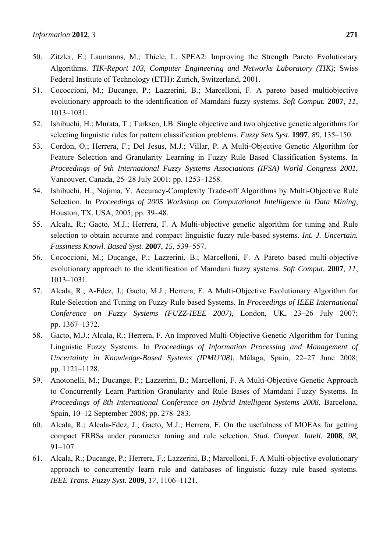- 50. Zitzler, E.; Laumanns, M.; Thiele, L. SPEA2: Improving the Strength Pareto Evolutionary Algorithms. *TIK-Report 103, Computer Engineering and Networks Laboratory (TIK)*; Swiss Federal Institute of Technology (ETH): Zurich, Switzerland, 2001.
- 51. Cococcioni, M.; Ducange, P.; Lazzerini, B.; Marcelloni, F. A pareto based multiobjective evolutionary approach to the identification of Mamdani fuzzy systems. *Soft Comput.* **2007**, *11*, 1013–1031.
- 52. Ishibuchi, H.; Murata, T.; Turksen, I.B. Single objective and two objective genetic algorithms for selecting linguistic rules for pattern classification problems. *Fuzzy Sets Syst.* **1997**, *89*, 135–150.
- 53. Cordon, O.; Herrera, F.; Del Jesus, M.J.; Villar, P. A Multi-Objective Genetic Algorithm for Feature Selection and Granularity Learning in Fuzzy Rule Based Classification Systems. In *Proceedings of 9th International Fuzzy Systems Associations (IFSA) World Congress 2001*, Vancouver, Canada, 25–28 July 2001; pp. 1253–1258.
- 54. Ishibuchi, H.; Nojima, Y. Accuracy-Complexity Trade-off Algorithms by Multi-Objective Rule Selection. In *Proceedings of 2005 Workshop on Computational Intelligence in Data Mining*, Houston, TX, USA, 2005; pp. 39–48.
- 55. Alcala, R.; Gacto, M.J.; Herrera, F. A Multi-objective genetic algorithm for tuning and Rule selection to obtain accurate and compact linguistic fuzzy rule-based systems. *Int. J. Uncertain. Fussiness Knowl. Based Syst.* **2007**, *15*, 539–557.
- 56. Cococcioni, M.; Ducange, P.; Lazzerini, B.; Marcelloni, F. A Pareto based multi-objective evolutionary approach to the identification of Mamdani fuzzy systems. *Soft Comput.* **2007**, *11*, 1013–1031.
- 57. Alcala, R.; A-Fdez, J.; Gacto, M.J.; Herrera, F. A Multi-Objective Evolutionary Algorithm for Rule-Selection and Tuning on Fuzzy Rule based Systems. In *Proceedings of IEEE International Conference on Fuzzy Systems (FUZZ-IEEE 2007)*, London, UK, 23–26 July 2007; pp. 1367–1372.
- 58. Gacto, M.J.; Alcala, R.; Herrera, F. An Improved Multi-Objective Genetic Algorithm for Tuning Linguistic Fuzzy Systems. In *Proceedings of Information Processing and Management of Uncertainty in Knowledge-Based Systems (IPMU'08)*, Málaga, Spain, 22–27 June 2008; pp. 1121–1128.
- 59. Anotonelli, M.; Ducange, P.; Lazzerini, B.; Marcelloni, F. A Multi-Objective Genetic Approach to Concurrently Learn Partition Granularity and Rule Bases of Mamdani Fuzzy Systems. In *Proceedings of 8th International Conference on Hybrid Intelligent Systems 2008*, Barcelona, Spain, 10–12 September 2008; pp. 278–283.
- 60. Alcala, R.; Alcala-Fdez, J.; Gacto, M.J.; Herrera, F. On the usefulness of MOEAs for getting compact FRBSs under parameter tuning and rule selection. *Stud. Comput. Intell.* **2008**, *98*, 91–107.
- 61. Alcala, R.; Ducange, P.; Herrera, F.; Lazzerini, B.; Marcelloni, F. A Multi-objective evolutionary approach to concurrently learn rule and databases of linguistic fuzzy rule based systems. *IEEE Trans. Fuzzy Syst.* **2009**, *17*, 1106–1121.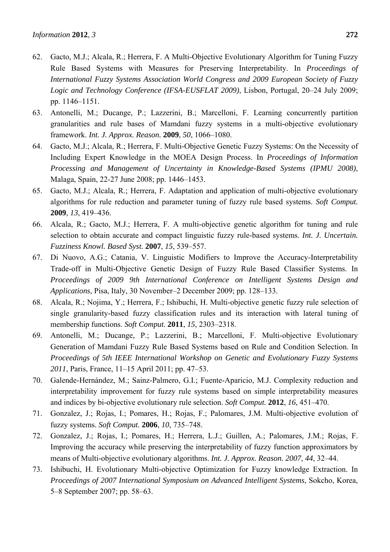- 62. Gacto, M.J.; Alcala, R.; Herrera, F. A Multi-Objective Evolutionary Algorithm for Tuning Fuzzy Rule Based Systems with Measures for Preserving Interpretability. In *Proceedings of International Fuzzy Systems Association World Congress and 2009 European Society of Fuzzy Logic and Technology Conference (IFSA-EUSFLAT 2009)*, Lisbon, Portugal, 20–24 July 2009; pp. 1146–1151.
- 63. Antonelli, M.; Ducange, P.; Lazzerini, B.; Marcelloni, F. Learning concurrently partition granularities and rule bases of Mamdani fuzzy systems in a multi-objective evolutionary framework. *Int. J. Approx. Reason.* **2009**, *50*, 1066–1080.
- 64. Gacto, M.J.; Alcala, R.; Herrera, F. Multi-Objective Genetic Fuzzy Systems: On the Necessity of Including Expert Knowledge in the MOEA Design Process. In *Proceedings of Information Processing and Management of Uncertainty in Knowledge-Based Systems (IPMU 2008)*, Malaga, Spain, 22-27 June 2008; pp. 1446–1453.
- 65. Gacto, M.J.; Alcala, R.; Herrera, F. Adaptation and application of multi-objective evolutionary algorithms for rule reduction and parameter tuning of fuzzy rule based systems. *Soft Comput.* **2009**, *13*, 419–436.
- 66. Alcala, R.; Gacto, M.J.; Herrera, F. A multi-objective genetic algorithm for tuning and rule selection to obtain accurate and compact linguistic fuzzy rule-based systems. *Int. J. Uncertain. Fuzziness Knowl. Based Syst.* **2007**, *15*, 539–557.
- 67. Di Nuovo, A.G.; Catania, V. Linguistic Modifiers to Improve the Accuracy-Interpretability Trade-off in Multi-Objective Genetic Design of Fuzzy Rule Based Classifier Systems. In *Proceedings of 2009 9th International Conference on Intelligent Systems Design and Applications*, Pisa, Italy, 30 November–2 December 2009; pp. 128–133.
- 68. Alcala, R.; Nojima, Y.; Herrera, F.; Ishibuchi, H. Multi-objective genetic fuzzy rule selection of single granularity-based fuzzy classification rules and its interaction with lateral tuning of membership functions. *Soft Comput.* **2011**, *15*, 2303–2318.
- 69. Antonelli, M.; Ducange, P.; Lazzerini, B.; Marcelloni, F. Multi-objective Evolutionary Generation of Mamdani Fuzzy Rule Based Systems based on Rule and Condition Selection. In *Proceedings of 5th IEEE International Workshop on Genetic and Evolutionary Fuzzy Systems 2011*, Paris, France, 11–15 April 2011; pp. 47–53.
- 70. Galende-Hernández, M.; Sainz-Palmero, G.I.; Fuente-Aparicio, M.J. Complexity reduction and interpretability improvement for fuzzy rule systems based on simple interpretability measures and indices by bi-objective evolutionary rule selection. *Soft Comput.* **2012**, *16*, 451–470.
- 71. Gonzalez, J.; Rojas, I.; Pomares, H.; Rojas, F.; Palomares, J.M. Multi-objective evolution of fuzzy systems. *Soft Comput.* **2006**, *10*, 735–748.
- 72. Gonzalez, J.; Rojas, I.; Pomares, H.; Herrera, L.J.; Guillen, A.; Palomares, J.M.; Rojas, F. Improving the accuracy while preserving the interpretability of fuzzy function approximators by means of Multi-objective evolutionary algorithms. *Int. J. Approx. Reason. 2007*, *44*, 32–44.
- 73. Ishibuchi, H. Evolutionary Multi-objective Optimization for Fuzzy knowledge Extraction. In *Proceedings of 2007 International Symposium on Advanced Intelligent Systems*, Sokcho, Korea, 5–8 September 2007; pp. 58–63.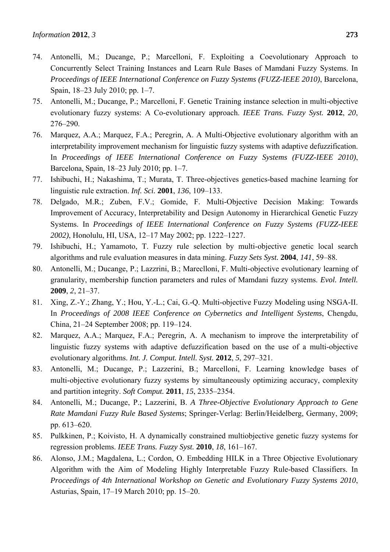- 74. Antonelli, M.; Ducange, P.; Marcelloni, F. Exploiting a Coevolutionary Approach to Concurrently Select Training Instances and Learn Rule Bases of Mamdani Fuzzy Systems. In *Proceedings of IEEE International Conference on Fuzzy Systems (FUZZ-IEEE 2010)*, Barcelona, Spain, 18–23 July 2010; pp. 1–7.
- 75. Antonelli, M.; Ducange, P.; Marcelloni, F. Genetic Training instance selection in multi-objective evolutionary fuzzy systems: A Co-evolutionary approach. *IEEE Trans. Fuzzy Syst.* **2012**, *20*, 276–290.
- 76. Marquez, A.A.; Marquez, F.A.; Peregrin, A. A Multi-Objective evolutionary algorithm with an interpretability improvement mechanism for linguistic fuzzy systems with adaptive defuzzification. In *Proceedings of IEEE International Conference on Fuzzy Systems (FUZZ-IEEE 2010)*, Barcelona, Spain, 18–23 July 2010; pp. 1–7.
- 77. Ishibuchi, H.; Nakashima, T.; Murata, T. Three-objectives genetics-based machine learning for linguistic rule extraction. *Inf. Sci.* **2001**, *136*, 109–133.
- 78. Delgado, M.R.; Zuben, F.V.; Gomide, F. Multi-Objective Decision Making: Towards Improvement of Accuracy, Interpretability and Design Autonomy in Hierarchical Genetic Fuzzy Systems. In *Proceedings of IEEE International Conference on Fuzzy Systems (FUZZ-IEEE 2002)*, Honolulu, HI, USA, 12–17 May 2002; pp. 1222–1227.
- 79. Ishibuchi, H.; Yamamoto, T. Fuzzy rule selection by multi-objective genetic local search algorithms and rule evaluation measures in data mining. *Fuzzy Sets Syst.* **2004**, *141*, 59–88.
- 80. Antonelli, M.; Ducange, P.; Lazzrini, B.; Mareclloni, F. Multi-objective evolutionary learning of granularity, membership function parameters and rules of Mamdani fuzzy systems. *Evol. Intell.* **2009**, *2*, 21–37.
- 81. Xing, Z.-Y.; Zhang, Y.; Hou, Y.-L.; Cai, G.-Q. Multi-objective Fuzzy Modeling using NSGA-II. In *Proceedings of 2008 IEEE Conference on Cybernetics and Intelligent Systems*, Chengdu, China, 21–24 September 2008; pp. 119–124.
- 82. Marquez, A.A.; Marquez, F.A.; Peregrin, A. A mechanism to improve the interpretability of linguistic fuzzy systems with adaptive defuzzification based on the use of a multi-objective evolutionary algorithms. *Int. J. Comput. Intell. Syst.* **2012**, *5*, 297–321.
- 83. Antonelli, M.; Ducange, P.; Lazzerini, B.; Marcelloni, F. Learning knowledge bases of multi-objective evolutionary fuzzy systems by simultaneously optimizing accuracy, complexity and partition integrity. *Soft Comput.* **2011**, *15*, 2335–2354.
- 84. Antonelli, M.; Ducange, P.; Lazzerini, B. *A Three-Objective Evolutionary Approach to Gene Rate Mamdani Fuzzy Rule Based Systems*; Springer-Verlag: Berlin/Heidelberg, Germany, 2009; pp. 613–620.
- 85. Pulkkinen, P.; Koivisto, H. A dynamically constrained multiobjective genetic fuzzy systems for regression problems. *IEEE Trans. Fuzzy Syst.* **2010**, *18*, 161–167.
- 86. Alonso, J.M.; Magdalena, L.; Cordon, O. Embedding HILK in a Three Objective Evolutionary Algorithm with the Aim of Modeling Highly Interpretable Fuzzy Rule-based Classifiers. In *Proceedings of 4th International Workshop on Genetic and Evolutionary Fuzzy Systems 2010*, Asturias, Spain, 17–19 March 2010; pp. 15–20.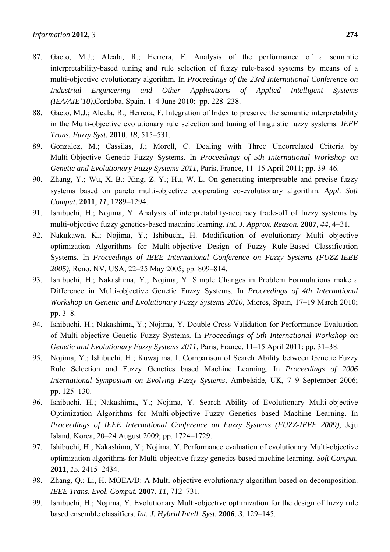- 87. Gacto, M.J.; Alcala, R.; Herrera, F. Analysis of the performance of a semantic interpretability-based tuning and rule selection of fuzzy rule-based systems by means of a multi-objective evolutionary algorithm. In *Proceedings of the 23rd International Conference on Industrial Engineering and Other Applications of Applied Intelligent Systems (IEA/AIE'10)*,Cordoba, Spain, 1–4 June 2010; pp. 228–238.
- 88. Gacto, M.J.; Alcala, R.; Herrera, F. Integration of Index to preserve the semantic interpretability in the Multi-objective evolutionary rule selection and tuning of linguistic fuzzy systems. *IEEE Trans. Fuzzy Syst.* **2010**, *18*, 515–531.
- 89. Gonzalez, M.; Cassilas, J.; Morell, C. Dealing with Three Uncorrelated Criteria by Multi-Objective Genetic Fuzzy Systems. In *Proceedings of 5th International Workshop on Genetic and Evolutionary Fuzzy Systems 2011*, Paris, France, 11–15 April 2011; pp. 39–46.
- 90. Zhang, Y.; Wu, X.-B.; Xing, Z.-Y.; Hu, W.-L. On generating interpretable and precise fuzzy systems based on pareto multi-objective cooperating co-evolutionary algorithm. *Appl. Soft Comput.* **2011**, *11*, 1289–1294.
- 91. Ishibuchi, H.; Nojima, Y. Analysis of interpretability-accuracy trade-off of fuzzy systems by multi-objective fuzzy genetics-based machine learning. *Int. J. Approx. Reason.* **2007**, *44*, 4–31.
- 92. Nakukawa, K.; Nojima, Y.; Ishibuchi, H. Modification of evolutionary Multi objective optimization Algorithms for Multi-objective Design of Fuzzy Rule-Based Classification Systems. In *Proceedings of IEEE International Conference on Fuzzy Systems (FUZZ-IEEE 2005)*, Reno, NV, USA, 22–25 May 2005; pp. 809–814.
- 93. Ishibuchi, H.; Nakashima, Y.; Nojima, Y. Simple Changes in Problem Formulations make a Difference in Multi-objective Genetic Fuzzy Systems. In *Proceedings of 4th International Workshop on Genetic and Evolutionary Fuzzy Systems 2010*, Mieres, Spain, 17–19 March 2010; pp. 3–8.
- 94. Ishibuchi, H.; Nakashima, Y.; Nojima, Y. Double Cross Validation for Performance Evaluation of Multi-objective Genetic Fuzzy Systems. In *Proceedings of 5th International Workshop on Genetic and Evolutionary Fuzzy Systems 2011*, Paris, France, 11–15 April 2011; pp. 31–38.
- 95. Nojima, Y.; Ishibuchi, H.; Kuwajima, I. Comparison of Search Ability between Genetic Fuzzy Rule Selection and Fuzzy Genetics based Machine Learning. In *Proceedings of 2006 International Symposium on Evolving Fuzzy Systems*, Ambelside, UK, 7–9 September 2006; pp. 125–130.
- 96. Ishibuchi, H.; Nakashima, Y.; Nojima, Y. Search Ability of Evolutionary Multi-objective Optimization Algorithms for Multi-objective Fuzzy Genetics based Machine Learning. In *Proceedings of IEEE International Conference on Fuzzy Systems (FUZZ-IEEE 2009)*, Jeju Island, Korea, 20–24 August 2009; pp. 1724–1729.
- 97. Ishibuchi, H.; Nakashima, Y.; Nojima, Y. Performance evaluation of evolutionary Multi-objective optimization algorithms for Multi-objective fuzzy genetics based machine learning. *Soft Comput.* **2011**, *15*, 2415–2434.
- 98. Zhang, Q.; Li, H. MOEA/D: A Multi-objective evolutionary algorithm based on decomposition. *IEEE Trans. Evol. Comput.* **2007**, *11*, 712–731.
- 99. Ishibuchi, H.; Nojima, Y. Evolutionary Multi-objective optimization for the design of fuzzy rule based ensemble classifiers. *Int. J. Hybrid Intell. Syst.* **2006**, *3*, 129–145.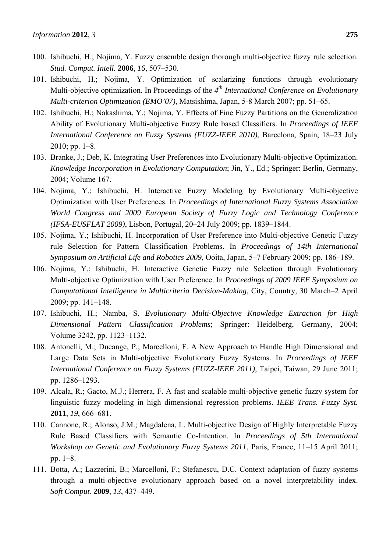- 100. Ishibuchi, H.; Nojima, Y. Fuzzy ensemble design thorough multi-objective fuzzy rule selection. *Stud. Comput. Intell.* **2006**, *16*, 507–530.
- 101. Ishibuchi, H.; Nojima, Y. Optimization of scalarizing functions through evolutionary Multi-objective optimization. In Proceedings of the *4th International Conference on Evolutionary Multi-criterion Optimization (EMO'07)*, Matsishima, Japan, 5-8 March 2007; pp. 51–65.
- 102. Ishibuchi, H.; Nakashima, Y.; Nojima, Y. Effects of Fine Fuzzy Partitions on the Generalization Ability of Evolutionary Multi-objective Fuzzy Rule based Classifiers. In *Proceedings of IEEE International Conference on Fuzzy Systems (FUZZ-IEEE 2010)*, Barcelona, Spain, 18–23 July 2010; pp. 1–8.
- 103. Branke, J.; Deb, K. Integrating User Preferences into Evolutionary Multi-objective Optimization. *Knowledge Incorporation in Evolutionary Computation*; Jin, Y., Ed.; Springer: Berlin, Germany, 2004; Volume 167.
- 104. Nojima, Y.; Ishibuchi, H. Interactive Fuzzy Modeling by Evolutionary Multi-objective Optimization with User Preferences. In *Proceedings of International Fuzzy Systems Association World Congress and 2009 European Society of Fuzzy Logic and Technology Conference (IFSA-EUSFLAT 2009)*, Lisbon, Portugal, 20–24 July 2009; pp. 1839–1844.
- 105. Nojima, Y.; Ishibuchi, H. Incorporation of User Preference into Multi-objective Genetic Fuzzy rule Selection for Pattern Classification Problems. In *Proceedings of 14th International Symposium on Artificial Life and Robotics 2009*, Ooita, Japan, 5–7 February 2009; pp. 186–189.
- 106. Nojima, Y.; Ishibuchi, H. Interactive Genetic Fuzzy rule Selection through Evolutionary Multi-objective Optimization with User Preference. In *Proceedings of 2009 IEEE Symposium on Computational Intelligence in Multicriteria Decision-Making*, City, Country, 30 March–2 April 2009; pp. 141–148.
- 107. Ishibuchi, H.; Namba, S. *Evolutionary Multi-Objective Knowledge Extraction for High Dimensional Pattern Classification Problems*; Springer: Heidelberg, Germany, 2004; Volume 3242, pp. 1123–1132.
- 108. Antonelli, M.; Ducange, P.; Marcelloni, F. A New Approach to Handle High Dimensional and Large Data Sets in Multi-objective Evolutionary Fuzzy Systems. In *Proceedings of IEEE International Conference on Fuzzy Systems (FUZZ-IEEE 2011)*, Taipei, Taiwan, 29 June 2011; pp. 1286–1293.
- 109. Alcala, R.; Gacto, M.J.; Herrera, F. A fast and scalable multi-objective genetic fuzzy system for linguistic fuzzy modeling in high dimensional regression problems. *IEEE Trans. Fuzzy Syst.* **2011**, *19*, 666–681.
- 110. Cannone, R.; Alonso, J.M.; Magdalena, L. Multi-objective Design of Highly Interpretable Fuzzy Rule Based Classifiers with Semantic Co-Intention. In *Proceedings of 5th International Workshop on Genetic and Evolutionary Fuzzy Systems 2011*, Paris, France, 11–15 April 2011; pp. 1–8.
- 111. Botta, A.; Lazzerini, B.; Marcelloni, F.; Stefanescu, D.C. Context adaptation of fuzzy systems through a multi-objective evolutionary approach based on a novel interpretability index. *Soft Comput.* **2009**, *13*, 437–449.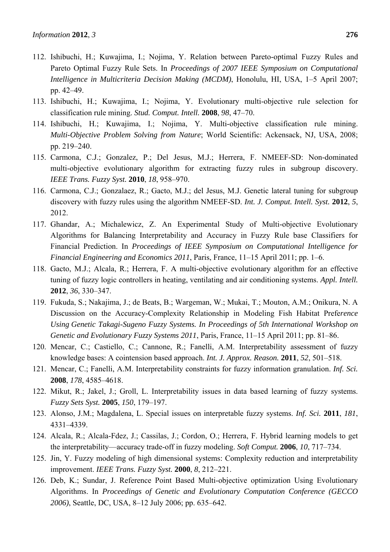- 112. Ishibuchi, H.; Kuwajima, I.; Nojima, Y. Relation between Pareto-optimal Fuzzy Rules and Pareto Optimal Fuzzy Rule Sets. In *Proceedings of 2007 IEEE Symposium on Computational Intelligence in Multicriteria Decision Making (MCDM)*, Honolulu, HI, USA, 1–5 April 2007; pp. 42–49.
- 113. Ishibuchi, H.; Kuwajima, I.; Nojima, Y. Evolutionary multi-objective rule selection for classification rule mining. *Stud. Comput. Intell.* **2008**, *98*, 47–70.
- 114. Ishibuchi, H.; Kuwajima, I.; Nojima, Y. Multi-objective classification rule mining. *Multi-Objective Problem Solving from Nature*; World Scientific: Ackensack, NJ, USA, 2008; pp. 219–240.
- 115. Carmona, C.J.; Gonzalez, P.; Del Jesus, M.J.; Herrera, F. NMEEF-SD: Non-dominated multi-objective evolutionary algorithm for extracting fuzzy rules in subgroup discovery. *IEEE Trans. Fuzzy Syst.* **2010**, *18*, 958–970.
- 116. Carmona, C.J.; Gonzalaez, R.; Gacto, M.J.; del Jesus, M.J. Genetic lateral tuning for subgroup discovery with fuzzy rules using the algorithm NMEEF-SD. *Int. J. Comput. Intell. Syst.* **2012**, *5*, 2012.
- 117. Ghandar, A.; Michalewicz, Z. An Experimental Study of Multi-objective Evolutionary Algorithms for Balancing Interpretability and Accuracy in Fuzzy Rule base Classifiers for Financial Prediction. In *Proceedings of IEEE Symposium on Computational Intelligence for Financial Engineering and Economics 2011*, Paris, France, 11–15 April 2011; pp. 1–6.
- 118. Gacto, M.J.; Alcala, R.; Herrera, F. A multi-objective evolutionary algorithm for an effective tuning of fuzzy logic controllers in heating, ventilating and air conditioning systems. *Appl. Intell.* **2012**, *36*, 330–347.
- 119. Fukuda, S.; Nakajima, J.; de Beats, B.; Wargeman, W.; Mukai, T.; Mouton, A.M.; Onikura, N. A Discussion on the Accuracy-Complexity Relationship in Modeling Fish Habitat Prefe*rence Using Genetic Takagi-Sugeno Fuzzy Systems. In Proceedings of 5th International Workshop on Genetic and Evolutionary Fuzzy Systems 2011*, Paris, France, 11–15 April 2011; pp. 81–86.
- 120. Mencar, C.; Castiello, C.; Cannone, R.; Fanelli, A.M. Interpretability assessment of fuzzy knowledge bases: A cointension based approach. *Int. J. Approx. Reason.* **2011**, *52*, 501–518.
- 121. Mencar, C.; Fanelli, A.M. Interpretability constraints for fuzzy information granulation. *Inf. Sci.* **2008**, *178*, 4585–4618.
- 122. Mikut, R.; Jakel, J.; Groll, L. Interpretability issues in data based learning of fuzzy systems. *Fuzzy Sets Syst.* **2005**, *150*, 179–197.
- 123. Alonso, J.M.; Magdalena, L. Special issues on interpretable fuzzy systems. *Inf. Sci.* **2011**, *181*, 4331–4339.
- 124. Alcala, R.; Alcala-Fdez, J.; Cassilas, J.; Cordon, O.; Herrera, F. Hybrid learning models to get the interpretability—accuracy trade-off in fuzzy modeling. *Soft Comput.* **2006**, *10*, 717–734.
- 125. Jin, Y. Fuzzy modeling of high dimensional systems: Complexity reduction and interpretability improvement. *IEEE Trans. Fuzzy Syst.* **2000**, *8*, 212–221.
- 126. Deb, K.; Sundar, J. Reference Point Based Multi-objective optimization Using Evolutionary Algorithms. In *Proceedings of Genetic and Evolutionary Computation Conference (GECCO 2006)*, Seattle, DC, USA, 8–12 July 2006; pp. 635–642.